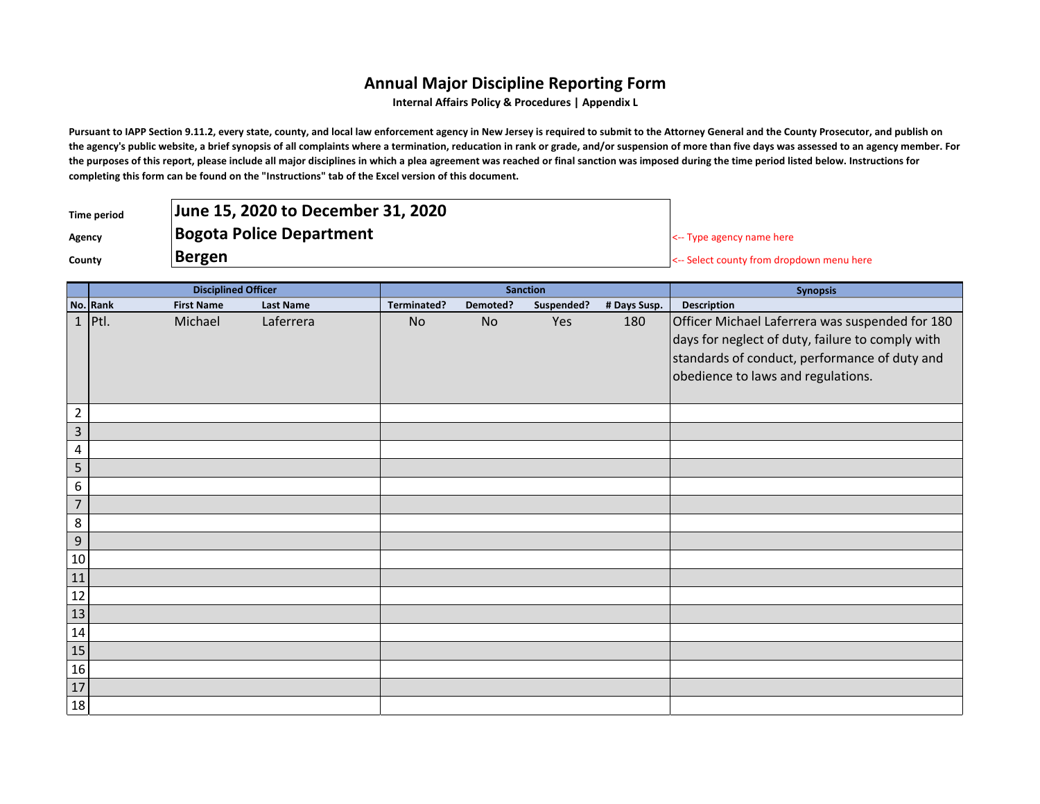## **Annual Major Discipline Reporting Form**

**Internal Affairs Policy & Procedures | Appendix L**

Pursuant to IAPP Section 9.11.2, every state, county, and local law enforcement agency in New Jersey is required to submit to the Attorney General and the County Prosecutor, and publish on **the agency's public website, a brief synopsis of all complaints where a termination, reducation in rank or grade, and/or suspension of more than five days was assessed to an agency member. For the purposes of this report, please include all major disciplines in which a plea agreement was reached or final sanction was imposed during the time period listed below. Instructions for completing this form can be found on the "Instructions" tab of the Excel version of this document.**

| Time period | June 15, 2020 to December 31, 2020 |                                           |
|-------------|------------------------------------|-------------------------------------------|
| Agency      | <b>Bogota Police Department</b>    | $\leq$ - Type agency name here            |
| County      | Bergen                             | <-- Select county from dropdown menu here |

|                 | <b>Disciplined Officer</b> |                   |                  | <b>Sanction</b> |          |            |              | <b>Synopsis</b>                                                                                                                                                                            |
|-----------------|----------------------------|-------------------|------------------|-----------------|----------|------------|--------------|--------------------------------------------------------------------------------------------------------------------------------------------------------------------------------------------|
|                 | No. Rank                   | <b>First Name</b> | <b>Last Name</b> | Terminated?     | Demoted? | Suspended? | # Days Susp. | Description                                                                                                                                                                                |
|                 | $1$ Ptl.                   | Michael           | Laferrera        | No              | No       | Yes        | 180          | Officer Michael Laferrera was suspended for 180<br>days for neglect of duty, failure to comply with<br>standards of conduct, performance of duty and<br>obedience to laws and regulations. |
| $\overline{2}$  |                            |                   |                  |                 |          |            |              |                                                                                                                                                                                            |
| $\mathbf{3}$    |                            |                   |                  |                 |          |            |              |                                                                                                                                                                                            |
| 4               |                            |                   |                  |                 |          |            |              |                                                                                                                                                                                            |
| 5               |                            |                   |                  |                 |          |            |              |                                                                                                                                                                                            |
| 6               |                            |                   |                  |                 |          |            |              |                                                                                                                                                                                            |
| $\overline{7}$  |                            |                   |                  |                 |          |            |              |                                                                                                                                                                                            |
| 8               |                            |                   |                  |                 |          |            |              |                                                                                                                                                                                            |
| $9\,$           |                            |                   |                  |                 |          |            |              |                                                                                                                                                                                            |
| 10              |                            |                   |                  |                 |          |            |              |                                                                                                                                                                                            |
| 11              |                            |                   |                  |                 |          |            |              |                                                                                                                                                                                            |
| 12              |                            |                   |                  |                 |          |            |              |                                                                                                                                                                                            |
| 13              |                            |                   |                  |                 |          |            |              |                                                                                                                                                                                            |
| 14              |                            |                   |                  |                 |          |            |              |                                                                                                                                                                                            |
| 15              |                            |                   |                  |                 |          |            |              |                                                                                                                                                                                            |
| 16              |                            |                   |                  |                 |          |            |              |                                                                                                                                                                                            |
| $\frac{17}{17}$ |                            |                   |                  |                 |          |            |              |                                                                                                                                                                                            |
| 18              |                            |                   |                  |                 |          |            |              |                                                                                                                                                                                            |